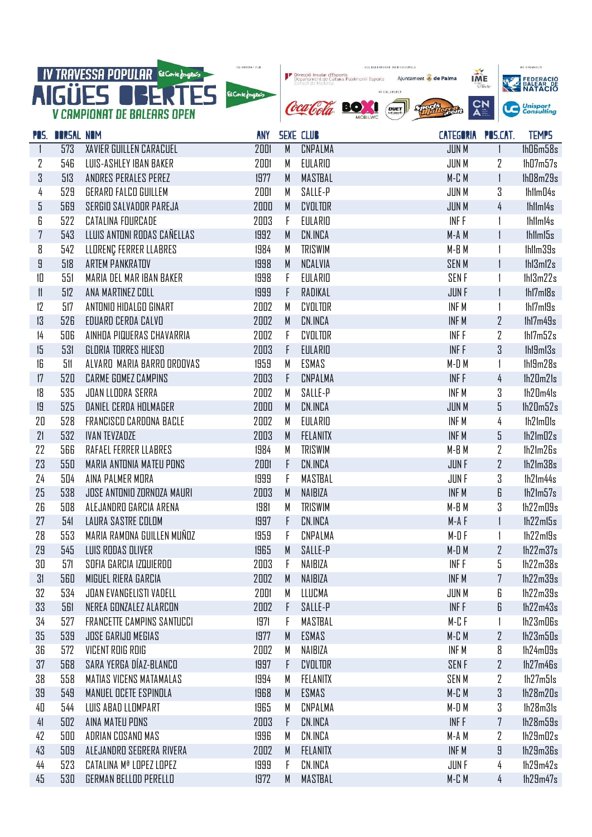

| rus.           | UURSAL NUM |                                   | AN 1 |   | <b>PEVE LLUD</b> | LAIEGURIA FUS.LAI. |              | <b>IEMPS</b> |
|----------------|------------|-----------------------------------|------|---|------------------|--------------------|--------------|--------------|
|                | 573        | XAVIER GUILLEN CARACUEL           | 2001 | M | CNPALMA          | <b>JUN M</b>       | L            | IhD6m58s     |
| 2              | 546        | LUIS-ASHLEY IBAN BAKER            | 2001 | М | EULARIO          | JUN M              | $\mathbf{Z}$ | 1h07m57s     |
| 3              | 513        | ANDRES PERALES PEREZ              | 1977 | M | MASTBAL          | $M$ - $C$ $M$      | $\mathbf{1}$ | 1h08m29s     |
| 4              | 529        | GERARD FALCO GUILLEM              | 2001 | М | SALLE-P          | <b>JUN M</b>       | 3            | IhllmD4s     |
| 5              | 569        | <b>SERGIO SALVADOR PAREJA</b>     | 2000 | M | CVOLTOR          | <b>JUN M</b>       | 4            | Ihlim14s     |
| 6              | 522        | CATALINA FOURCADE                 | 2003 | F | EULARIO          | INF F              |              | Ihlim14s     |
| $\overline{7}$ | 543        | LLUIS ANTONI RODAS CAÑELLAS       | 1992 | M | CN.INCA          | M-A M              |              | Ihlim15s     |
| 8              | 542        | LLORENÇ FERRER LLABRES            | 1984 | M | <b>TRISWIM</b>   | $M - B$ $M$        |              | Ihllm39s     |
| 9              | 518        | ARTEM PANKRATOV                   | 1998 | M | NCALVIA          | <b>SENM</b>        | $\mathbf{1}$ | 1h13m12s     |
| 10             | 551        | MARIA DEL MAR IBAN BAKER          | 1998 | F | EULARIO          | <b>SENF</b>        |              | 1h13m22s     |
| 11             | 512        | ANA MARTINEZ COLL                 | 1999 | F | RADIKAL          | <b>JUNF</b>        | $\mathbf{I}$ | Ihi7mi8s     |
| 12             | 517        | ANTONIO HIDALGO GINART            | 2002 | M | CVOLTOR          | INF M              |              | 1h17m19s     |
| 13             | 526        | EDUARD CERDA CALVO                | 2002 | M | CN.INCA          | INF <sub>M</sub>   | 2            | 1h17m49s     |
| 4              | 506        | AINHOA PIQUERAS CHAVARRIA         | 2002 | F | CVOLTOR          | INF F              | 2            | 1h17m52s     |
| 15             | 531        | GLORIA TORRES HUESO               | 2003 | F | EULARIO          | INF F              | 3            | Ihl9ml3s     |
| 16             | 511        | ALVARD MARIA BARRO ORDOVAS        | 1959 | M | ESMAS            | M-DM               |              | Ihl9m28s     |
| 17             | 520        | CARME GOMEZ CAMPINS               | 2003 | F | CNPALMA          | INF F              | 4            | 1h20m21s     |
| 18             | 535        | JOAN LLODRA SERRA                 | 2002 | M | SALLE-P          | INF M              | 3            | Ih20m41s     |
| 19             | 525        | DANIEL CERDA HOLMAGER             | 2000 | M | CN.INCA          | <b>JUN M</b>       | 5            | 1h20m52s     |
| 20             | 528        | FRANCISCO CARDONA BACLE           | 2002 | M | EULARIO          | INF M              | 4            | lh21m01s     |
| 21             | 532        | <b>IVAN TEVZADZE</b>              | 2003 | M | FELANITX         | INF M              | 5            | 1h21m02s     |
| 22             | 566        | RAFAEL FERRER LLABRES             | 1984 | M | <b>TRISWIM</b>   | M-B M              | 2            | lh21m26s     |
| 23             | 550        | MARIA ANTONIA MATEU PONS          | 2001 | F | CN.INCA          | <b>JUNF</b>        | 2            | lh21m38s     |
| 24             | 504        | AINA PALMER MORA                  | 1999 | F | MASTBAL          | JUN F              | 3            | Ih2Im44s     |
| 25             | 538        | <b>JOSE ANTONIO ZORNOZA MAURI</b> | 2003 | M | NAIBIZA          | INF <sub>M</sub>   | 6            | 1h21m57s     |
| 26             | 508        | ALEJANDRO GARCIA ARENA            | 1981 | M | <b>TRISWIM</b>   | M-B M              | 3            | lh22m09s     |
| 27             | 541        | LAURA SASTRE COLOM                | 1997 | F | CN.INCA          | $M-A$ F            | $\mathbf{I}$ | 1h22m15s     |
| 28             | 553        | MARIA RAMONA GUILLEN MUÑOZ        | 1959 | F | CNPALMA          | $M-DF$             | 1            | 1h22m19s     |
| 29             | 545        | LUIS RODAS OLIVER                 | 1965 | M | SALLE-P          | $M-D$ M            | $\mathbf{Z}$ | lh22m37s     |
| 30             | 571        | SOFIA GARCIA IZQUIERDO            | 2003 | F | NAIBIZA          | INF F              | 5            | lh22m38s     |
| 31             | 560        | MIGUEL RIERA GARCIA               | 2002 | M | NAIBIZA          | INF M              | 7            | lh22m39s     |
| 32             | 534        | JOAN EVANGELISTI VADELL           | 2001 | M | LLUCMA           | JUN M              | 6            | lh22m39s     |
| 33             | 561        | NEREA GONZALEZ ALARCON            | 2002 | F | SALLE-P          | INF F              | 6            | 1h22m43s     |
| 34             | 527        | <b>FRANCETTE CAMPINS SANTUCCI</b> | 1971 | F | MASTBAL          | $M$ - $C$ $F$      |              | lh23m06s     |
| 35             | 539        | JOSE GARIJO MEGIAS                | 1977 | M | ESMAS            | $M$ - $C$ $M$      | $\mathbf{Z}$ | 1h23m50s     |
| 36             | 572        | <b>VICENT ROIG ROIG</b>           | 2002 | M | NAIBIZA          | INF M              | 8            | lh24m09s     |
| 37             | 568        | SARA YERGA DÍAZ-BLANCO            | 1997 | F | CVOLTOR          | <b>SENF</b>        | 2            | 1h27m46s     |
| 38             | 558        | MATIAS VICENS MATAMALAS           | 1994 | M | FELANITX         | <b>SENM</b>        | 2            | 1h27m51s     |
| 39             | 549        | MANUEL OCETE ESPINOLA             | 1968 | M | ESMAS            | $M$ - $C$ $M$      | 3            | lh2Bm20s     |
| 40             | 544        | LUIS ABAD LLOMPART                | 1965 | М | CNPALMA          | $M-D$ M            | 3            | 1h28m31s     |
| 41             | 502        | AINA MATEU PONS                   | 2003 | F | CN.INCA          | <b>INFF</b>        | 7            | 1h28m59s     |
| 42             | 500        | ADRIAN COSANO MAS                 | 1996 | M | CN.INCA          | M-A M              | 2            | lh29m02s     |
| 43             | 509        | ALEJANDRO SEGRERA RIVERA          | 2002 | M | FELANITX         | INF <sub>M</sub>   | 9            | lh29m36s     |
| 44             | 523        | CATALINA Mª LOPEZ LOPEZ           | 1999 | F | CN.INCA          | JUN F              | 4            | lh29m42s     |
| 45             | 530        | GERMAN BELLOD PERELLO             | 1972 | M | MASTBAL          | $M$ - $C$ $M$      | 4            | 1h29m47s     |